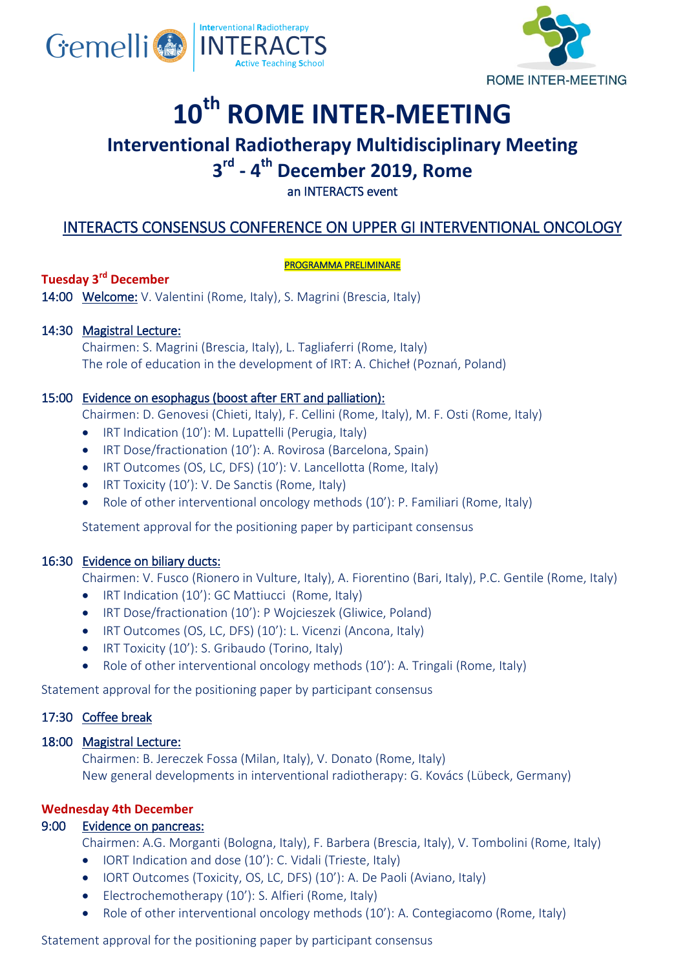



# **10th ROME INTER-MEETING**

# **Interventional Radiotherapy Multidisciplinary Meeting**

# **3 rd - 4 th December 2019, Rome**

# an INTERACTS event

# INTERACTS CONSENSUS CONFERENCE ON UPPER GI INTERVENTIONAL ONCOLOGY

#### PROGRAMMA PRELIMINARE

# **Tuesday 3rd December**

14:00 Welcome: V. Valentini (Rome, Italy), S. Magrini (Brescia, Italy)

# 14:30 Magistral Lecture:

Chairmen: S. Magrini (Brescia, Italy), L. Tagliaferri (Rome, Italy) The role of education in the development of IRT: A. Chicheł (Poznań, Poland)

## 15:00 Evidence on esophagus (boost after ERT and palliation):

Chairmen: D. Genovesi (Chieti, Italy), F. Cellini (Rome, Italy), M. F. Osti (Rome, Italy)

- IRT Indication (10'): M. Lupattelli (Perugia, Italy)
- IRT Dose/fractionation (10'): A. Rovirosa (Barcelona, Spain)
- IRT Outcomes (OS, LC, DFS) (10'): V. Lancellotta (Rome, Italy)
- IRT Toxicity (10'): V. De Sanctis (Rome, Italy)
- Role of other interventional oncology methods (10'): P. Familiari (Rome, Italy)

Statement approval for the positioning paper by participant consensus

### 16:30 Evidence on biliary ducts:

Chairmen: V. Fusco (Rionero in Vulture, Italy), A. Fiorentino (Bari, Italy), P.C. Gentile (Rome, Italy)

- IRT Indication (10'): GC Mattiucci (Rome, Italy)
- IRT Dose/fractionation (10'): P Wojcieszek (Gliwice, Poland)
- IRT Outcomes (OS, LC, DFS) (10'): L. Vicenzi (Ancona, Italy)
- IRT Toxicity (10'): S. Gribaudo (Torino, Italy)
- Role of other interventional oncology methods (10'): A. Tringali (Rome, Italy)

Statement approval for the positioning paper by participant consensus

# 17:30 Coffee break

### 18:00 Magistral Lecture:

Chairmen: B. Jereczek Fossa (Milan, Italy), V. Donato (Rome, Italy) New general developments in interventional radiotherapy: G. Kovács (Lübeck, Germany)

### **Wednesday 4th December**

### 9:00 Evidence on pancreas:

Chairmen: A.G. Morganti (Bologna, Italy), F. Barbera (Brescia, Italy), V. Tombolini (Rome, Italy)

- IORT Indication and dose (10'): C. Vidali (Trieste, Italy)
- IORT Outcomes (Toxicity, OS, LC, DFS) (10'): A. De Paoli (Aviano, Italy)
- Electrochemotherapy (10'): S. Alfieri (Rome, Italy)
- Role of other interventional oncology methods (10'): A. Contegiacomo (Rome, Italy)

Statement approval for the positioning paper by participant consensus